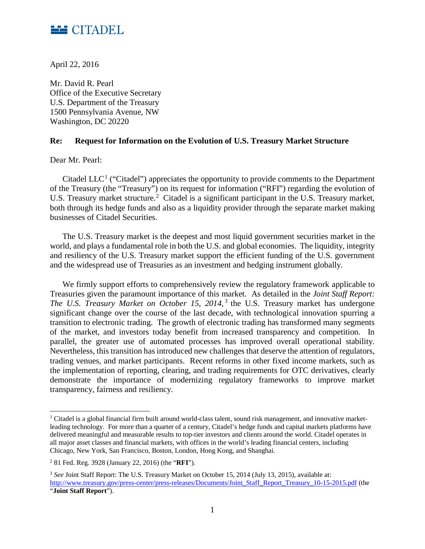

April 22, 2016

Mr. David R. Pearl Office of the Executive Secretary U.S. Department of the Treasury 1500 Pennsylvania Avenue, NW Washington, DC 20220

### **Re: Request for Information on the Evolution of U.S. Treasury Market Structure**

Dear Mr. Pearl:

 $\overline{a}$ 

Citadel LLC<sup>[1](#page-0-0)</sup> ("Citadel") appreciates the opportunity to provide comments to the Department of the Treasury (the "Treasury") on its request for information ("RFI") regarding the evolution of U.S. Treasury market structure.<sup>[2](#page-0-1)</sup> Citadel is a significant participant in the U.S. Treasury market, both through its hedge funds and also as a liquidity provider through the separate market making businesses of Citadel Securities.

The U.S. Treasury market is the deepest and most liquid government securities market in the world, and plays a fundamental role in both the U.S. and global economies. The liquidity, integrity and resiliency of the U.S. Treasury market support the efficient funding of the U.S. government and the widespread use of Treasuries as an investment and hedging instrument globally.

We firmly support efforts to comprehensively review the regulatory framework applicable to Treasuries given the paramount importance of this market. As detailed in the *Joint Staff Report: The U.S. Treasury Market on October 15, 2014*,<sup>[3](#page-0-2)</sup> the U.S. Treasury market has undergone significant change over the course of the last decade, with technological innovation spurring a transition to electronic trading. The growth of electronic trading has transformed many segments of the market, and investors today benefit from increased transparency and competition. In parallel, the greater use of automated processes has improved overall operational stability. Nevertheless, this transition has introduced new challenges that deserve the attention of regulators, trading venues, and market participants. Recent reforms in other fixed income markets, such as the implementation of reporting, clearing, and trading requirements for OTC derivatives, clearly demonstrate the importance of modernizing regulatory frameworks to improve market transparency, fairness and resiliency.

<span id="page-0-0"></span><sup>1</sup> Citadel is a global financial firm built around world-class talent, sound risk management, and innovative marketleading technology. For more than a quarter of a century, Citadel's hedge funds and capital markets platforms have delivered meaningful and measurable results to top-tier investors and clients around the world. Citadel operates in all major asset classes and financial markets, with offices in the world's leading financial centers, including Chicago, New York, San Francisco, Boston, London, Hong Kong, and Shanghai.

<span id="page-0-1"></span><sup>2</sup> 81 Fed. Reg. 3928 (January 22, 2016) (the "**RFI**").

<span id="page-0-2"></span><sup>&</sup>lt;sup>3</sup> See Joint Staff Report: The U.S. Treasury Market on October 15, 2014 (July 13, 2015), available at: [http://www.treasury.gov/press-center/press-releases/Documents/Joint\\_Staff\\_Report\\_Treasury\\_10-15-2015.pdf](http://www.treasury.gov/press-center/press-releases/Documents/Joint_Staff_Report_Treasury_10-15-2015.pdf) (the "**Joint Staff Report**").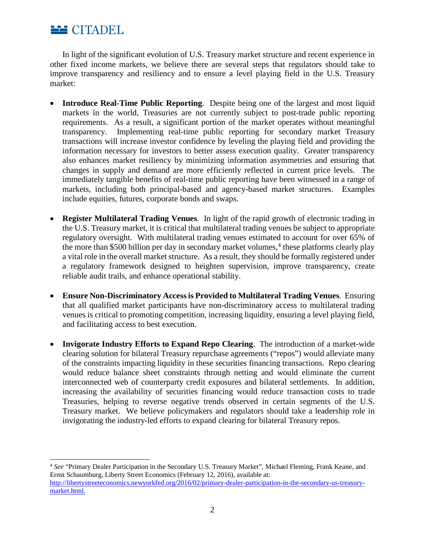

 $\overline{\phantom{a}}$ 

In light of the significant evolution of U.S. Treasury market structure and recent experience in other fixed income markets, we believe there are several steps that regulators should take to improve transparency and resiliency and to ensure a level playing field in the U.S. Treasury market:

- **Introduce Real-Time Public Reporting**. Despite being one of the largest and most liquid markets in the world, Treasuries are not currently subject to post-trade public reporting requirements. As a result, a significant portion of the market operates without meaningful transparency. Implementing real-time public reporting for secondary market Treasury transactions will increase investor confidence by leveling the playing field and providing the information necessary for investors to better assess execution quality. Greater transparency also enhances market resiliency by minimizing information asymmetries and ensuring that changes in supply and demand are more efficiently reflected in current price levels. The immediately tangible benefits of real-time public reporting have been witnessed in a range of markets, including both principal-based and agency-based market structures. Examples include equities, futures, corporate bonds and swaps.
- **Register Multilateral Trading Venues**. In light of the rapid growth of electronic trading in the U.S. Treasury market, it is critical that multilateral trading venues be subject to appropriate regulatory oversight. With multilateral trading venues estimated to account for over 65% of the more than \$500 billion per day in secondary market volumes, [4](#page-1-0) these platforms clearly play a vital role in the overall market structure. As a result, they should be formally registered under a regulatory framework designed to heighten supervision, improve transparency, create reliable audit trails, and enhance operational stability.
- **Ensure Non-Discriminatory Access is Provided to Multilateral Trading Venues**. Ensuring that all qualified market participants have non-discriminatory access to multilateral trading venues is critical to promoting competition, increasing liquidity, ensuring a level playing field, and facilitating access to best execution.
- **Invigorate Industry Efforts to Expand Repo Clearing**. The introduction of a market-wide clearing solution for bilateral Treasury repurchase agreements ("repos") would alleviate many of the constraints impacting liquidity in these securities financing transactions. Repo clearing would reduce balance sheet constraints through netting and would eliminate the current interconnected web of counterparty credit exposures and bilateral settlements. In addition, increasing the availability of securities financing would reduce transaction costs to trade Treasuries, helping to reverse negative trends observed in certain segments of the U.S. Treasury market. We believe policymakers and regulators should take a leadership role in invigorating the industry-led efforts to expand clearing for bilateral Treasury repos.

<span id="page-1-0"></span><sup>4</sup> *See* "Primary Dealer Participation in the Secondary U.S. Treasury Market", Michael Fleming, Frank Keane, and Ernst Schaumburg, Liberty Street Economics (February 12, 2016), available at: [http://libertystreeteconomics.newyorkfed.org/2016/02/primary-dealer-participation-in-the-secondary-us-treasury](http://libertystreeteconomics.newyorkfed.org/2016/02/primary-dealer-participation-in-the-secondary-us-treasury-market.html)[market.html.](http://libertystreeteconomics.newyorkfed.org/2016/02/primary-dealer-participation-in-the-secondary-us-treasury-market.html)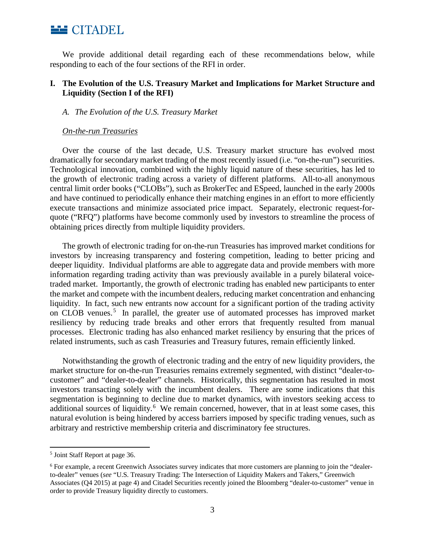

We provide additional detail regarding each of these recommendations below, while responding to each of the four sections of the RFI in order.

# **I. The Evolution of the U.S. Treasury Market and Implications for Market Structure and Liquidity (Section I of the RFI)**

#### *A. The Evolution of the U.S. Treasury Market*

#### *On-the-run Treasuries*

Over the course of the last decade, U.S. Treasury market structure has evolved most dramatically for secondary market trading of the most recently issued (i.e. "on-the-run") securities. Technological innovation, combined with the highly liquid nature of these securities, has led to the growth of electronic trading across a variety of different platforms. All-to-all anonymous central limit order books ("CLOBs"), such as BrokerTec and ESpeed, launched in the early 2000s and have continued to periodically enhance their matching engines in an effort to more efficiently execute transactions and minimize associated price impact. Separately, electronic request-forquote ("RFQ") platforms have become commonly used by investors to streamline the process of obtaining prices directly from multiple liquidity providers.

The growth of electronic trading for on-the-run Treasuries has improved market conditions for investors by increasing transparency and fostering competition, leading to better pricing and deeper liquidity. Individual platforms are able to aggregate data and provide members with more information regarding trading activity than was previously available in a purely bilateral voicetraded market. Importantly, the growth of electronic trading has enabled new participants to enter the market and compete with the incumbent dealers, reducing market concentration and enhancing liquidity. In fact, such new entrants now account for a significant portion of the trading activity on CLOB venues.<sup>[5](#page-2-0)</sup> In parallel, the greater use of automated processes has improved market resiliency by reducing trade breaks and other errors that frequently resulted from manual processes. Electronic trading has also enhanced market resiliency by ensuring that the prices of related instruments, such as cash Treasuries and Treasury futures, remain efficiently linked.

Notwithstanding the growth of electronic trading and the entry of new liquidity providers, the market structure for on-the-run Treasuries remains extremely segmented, with distinct "dealer-tocustomer" and "dealer-to-dealer" channels. Historically, this segmentation has resulted in most investors transacting solely with the incumbent dealers. There are some indications that this segmentation is beginning to decline due to market dynamics, with investors seeking access to additional sources of liquidity.<sup>[6](#page-2-1)</sup> We remain concerned, however, that in at least some cases, this natural evolution is being hindered by access barriers imposed by specific trading venues, such as arbitrary and restrictive membership criteria and discriminatory fee structures.

 $\overline{\phantom{a}}$ 

<span id="page-2-0"></span><sup>5</sup> Joint Staff Report at page 36.

<span id="page-2-1"></span><sup>6</sup> For example, a recent Greenwich Associates survey indicates that more customers are planning to join the "dealerto-dealer" venues (*see* "U.S. Treasury Trading: The Intersection of Liquidity Makers and Takers," Greenwich Associates (Q4 2015) at page 4) and Citadel Securities recently joined the Bloomberg "dealer-to-customer" venue in order to provide Treasury liquidity directly to customers.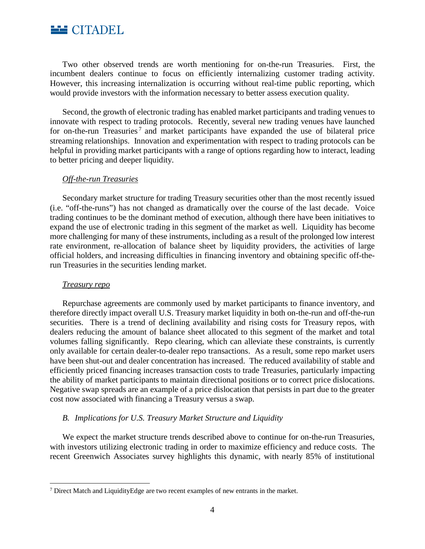

Two other observed trends are worth mentioning for on-the-run Treasuries. First, the incumbent dealers continue to focus on efficiently internalizing customer trading activity. However, this increasing internalization is occurring without real-time public reporting, which would provide investors with the information necessary to better assess execution quality.

Second, the growth of electronic trading has enabled market participants and trading venues to innovate with respect to trading protocols. Recently, several new trading venues have launched for on-the-run Treasuries<sup>[7](#page-3-0)</sup> and market participants have expanded the use of bilateral price streaming relationships. Innovation and experimentation with respect to trading protocols can be helpful in providing market participants with a range of options regarding how to interact, leading to better pricing and deeper liquidity.

### *Off-the-run Treasuries*

Secondary market structure for trading Treasury securities other than the most recently issued (i.e. "off-the-runs") has not changed as dramatically over the course of the last decade. Voice trading continues to be the dominant method of execution, although there have been initiatives to expand the use of electronic trading in this segment of the market as well. Liquidity has become more challenging for many of these instruments, including as a result of the prolonged low interest rate environment, re-allocation of balance sheet by liquidity providers, the activities of large official holders, and increasing difficulties in financing inventory and obtaining specific off-therun Treasuries in the securities lending market.

#### *Treasury repo*

 $\overline{\phantom{a}}$ 

Repurchase agreements are commonly used by market participants to finance inventory, and therefore directly impact overall U.S. Treasury market liquidity in both on-the-run and off-the-run securities. There is a trend of declining availability and rising costs for Treasury repos, with dealers reducing the amount of balance sheet allocated to this segment of the market and total volumes falling significantly. Repo clearing, which can alleviate these constraints, is currently only available for certain dealer-to-dealer repo transactions. As a result, some repo market users have been shut-out and dealer concentration has increased. The reduced availability of stable and efficiently priced financing increases transaction costs to trade Treasuries, particularly impacting the ability of market participants to maintain directional positions or to correct price dislocations. Negative swap spreads are an example of a price dislocation that persists in part due to the greater cost now associated with financing a Treasury versus a swap.

## *B. Implications for U.S. Treasury Market Structure and Liquidity*

We expect the market structure trends described above to continue for on-the-run Treasuries, with investors utilizing electronic trading in order to maximize efficiency and reduce costs. The recent Greenwich Associates survey highlights this dynamic, with nearly 85% of institutional

<span id="page-3-0"></span><sup>7</sup> Direct Match and LiquidityEdge are two recent examples of new entrants in the market.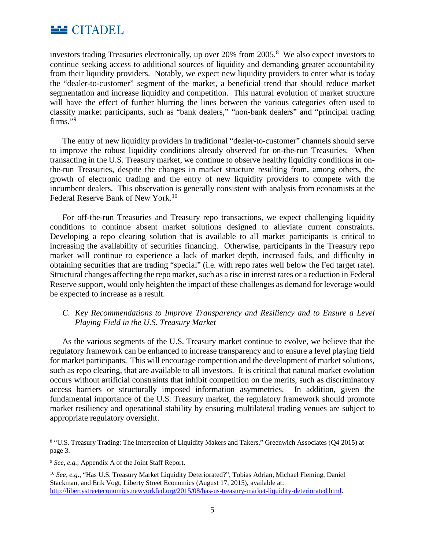

investors trading Treasuries electronically, up over 20% from 2005.<sup>[8](#page-4-0)</sup> We also expect investors to continue seeking access to additional sources of liquidity and demanding greater accountability from their liquidity providers. Notably, we expect new liquidity providers to enter what is today the "dealer-to-customer" segment of the market, a beneficial trend that should reduce market segmentation and increase liquidity and competition. This natural evolution of market structure will have the effect of further blurring the lines between the various categories often used to classify market participants, such as "bank dealers," "non-bank dealers" and "principal trading firms."[9](#page-4-1)

The entry of new liquidity providers in traditional "dealer-to-customer" channels should serve to improve the robust liquidity conditions already observed for on-the-run Treasuries. When transacting in the U.S. Treasury market, we continue to observe healthy liquidity conditions in onthe-run Treasuries, despite the changes in market structure resulting from, among others, the growth of electronic trading and the entry of new liquidity providers to compete with the incumbent dealers. This observation is generally consistent with analysis from economists at the Federal Reserve Bank of New York.<sup>[10](#page-4-2)</sup>

For off-the-run Treasuries and Treasury repo transactions, we expect challenging liquidity conditions to continue absent market solutions designed to alleviate current constraints. Developing a repo clearing solution that is available to all market participants is critical to increasing the availability of securities financing. Otherwise, participants in the Treasury repo market will continue to experience a lack of market depth, increased fails, and difficulty in obtaining securities that are trading "special" (i.e. with repo rates well below the Fed target rate). Structural changes affecting the repo market, such as a rise in interest rates or a reduction in Federal Reserve support, would only heighten the impact of these challenges as demand for leverage would be expected to increase as a result.

# *C. Key Recommendations to Improve Transparency and Resiliency and to Ensure a Level Playing Field in the U.S. Treasury Market*

As the various segments of the U.S. Treasury market continue to evolve, we believe that the regulatory framework can be enhanced to increase transparency and to ensure a level playing field for market participants. This will encourage competition and the development of market solutions, such as repo clearing, that are available to all investors. It is critical that natural market evolution occurs without artificial constraints that inhibit competition on the merits, such as discriminatory access barriers or structurally imposed information asymmetries. In addition, given the fundamental importance of the U.S. Treasury market, the regulatory framework should promote market resiliency and operational stability by ensuring multilateral trading venues are subject to appropriate regulatory oversight.

l

<span id="page-4-0"></span><sup>8</sup> "U.S. Treasury Trading: The Intersection of Liquidity Makers and Takers," Greenwich Associates (Q4 2015) at page 3.

<span id="page-4-1"></span><sup>9</sup> *See, e.g.,* Appendix A of the Joint Staff Report.

<span id="page-4-2"></span><sup>10</sup> *See, e.g.*, "Has U.S. Treasury Market Liquidity Deteriorated?", Tobias Adrian, Michael Fleming, Daniel Stackman, and Erik Vogt, Liberty Street Economics (August 17, 2015), available at: [http://libertystreeteconomics.newyorkfed.org/2015/08/has-us-treasury-market-liquidity-deteriorated.html.](http://libertystreeteconomics.newyorkfed.org/2015/08/has-us-treasury-market-liquidity-deteriorated.html)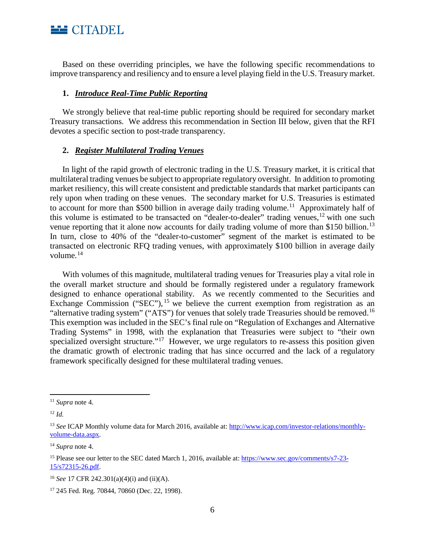

Based on these overriding principles, we have the following specific recommendations to improve transparency and resiliency and to ensure a level playing field in the U.S. Treasury market.

## **1.** *Introduce Real-Time Public Reporting*

We strongly believe that real-time public reporting should be required for secondary market Treasury transactions. We address this recommendation in Section III below, given that the RFI devotes a specific section to post-trade transparency.

### **2.** *Register Multilateral Trading Venues*

In light of the rapid growth of electronic trading in the U.S. Treasury market, it is critical that multilateral trading venues be subject to appropriate regulatory oversight. In addition to promoting market resiliency, this will create consistent and predictable standards that market participants can rely upon when trading on these venues. The secondary market for U.S. Treasuries is estimated to account for more than \$500 billion in average daily trading volume.<sup>11</sup> Approximately half of this volume is estimated to be transacted on "dealer-to-dealer" trading venues,  $12$  with one such venue reporting that it alone now accounts for daily trading volume of more than \$150 billion.<sup>[13](#page-5-2)</sup> In turn, close to 40% of the "dealer-to-customer" segment of the market is estimated to be transacted on electronic RFQ trading venues, with approximately \$100 billion in average daily volume.<sup>[14](#page-5-3)</sup>

With volumes of this magnitude, multilateral trading venues for Treasuries play a vital role in the overall market structure and should be formally registered under a regulatory framework designed to enhance operational stability. As we recently commented to the Securities and Exchange Commission ("SEC"), <sup>[15](#page-5-4)</sup> we believe the current exemption from registration as an "alternative trading system" ("ATS") for venues that solely trade Treasuries should be removed.<sup>[16](#page-5-5)</sup> This exemption was included in the SEC's final rule on "Regulation of Exchanges and Alternative Trading Systems" in 1998, with the explanation that Treasuries were subject to "their own specialized oversight structure."<sup>17</sup> However, we urge regulators to re-assess this position given the dramatic growth of electronic trading that has since occurred and the lack of a regulatory framework specifically designed for these multilateral trading venues.

l

<span id="page-5-0"></span><sup>11</sup> *Supra* note 4.

<span id="page-5-1"></span><sup>12</sup> *Id.*

<span id="page-5-2"></span><sup>13</sup> *See* ICAP Monthly volume data for March 2016, available at: [http://www.icap.com/investor-relations/monthly](http://www.icap.com/investor-relations/monthly-volume-data.aspx)[volume-data.aspx.](http://www.icap.com/investor-relations/monthly-volume-data.aspx)

<span id="page-5-3"></span><sup>14</sup> *Supra* note 4.

<span id="page-5-4"></span><sup>&</sup>lt;sup>15</sup> Please see our letter to the SEC dated March 1, 2016, available at: [https://www.sec.gov/comments/s7-23-](https://www.sec.gov/comments/s7-23-15/s72315-26.pdf) [15/s72315-26.pdf.](https://www.sec.gov/comments/s7-23-15/s72315-26.pdf)

<span id="page-5-5"></span><sup>16</sup> *See* 17 CFR 242.301(a)(4)(i) and (ii)(A).

<span id="page-5-6"></span><sup>17</sup> 245 Fed. Reg. 70844, 70860 (Dec. 22, 1998).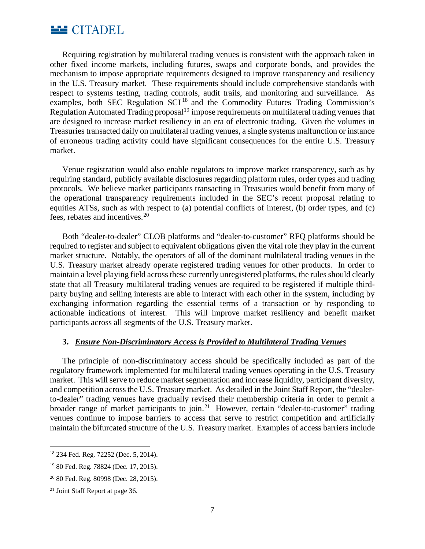

Requiring registration by multilateral trading venues is consistent with the approach taken in other fixed income markets, including futures, swaps and corporate bonds, and provides the mechanism to impose appropriate requirements designed to improve transparency and resiliency in the U.S. Treasury market. These requirements should include comprehensive standards with respect to systems testing, trading controls, audit trails, and monitoring and surveillance. As examples, both SEC Regulation SCI [18](#page-6-0) and the Commodity Futures Trading Commission's Regulation Automated Trading proposal<sup>[19](#page-6-1)</sup> impose requirements on multilateral trading venues that are designed to increase market resiliency in an era of electronic trading. Given the volumes in Treasuries transacted daily on multilateral trading venues, a single systems malfunction or instance of erroneous trading activity could have significant consequences for the entire U.S. Treasury market.

Venue registration would also enable regulators to improve market transparency, such as by requiring standard, publicly available disclosures regarding platform rules, order types and trading protocols. We believe market participants transacting in Treasuries would benefit from many of the operational transparency requirements included in the SEC's recent proposal relating to equities ATSs, such as with respect to (a) potential conflicts of interest, (b) order types, and (c) fees, rebates and incentives.[20](#page-6-2) 

Both "dealer-to-dealer" CLOB platforms and "dealer-to-customer" RFQ platforms should be required to register and subject to equivalent obligations given the vital role they play in the current market structure. Notably, the operators of all of the dominant multilateral trading venues in the U.S. Treasury market already operate registered trading venues for other products. In order to maintain a level playing field across these currently unregistered platforms, the rules should clearly state that all Treasury multilateral trading venues are required to be registered if multiple thirdparty buying and selling interests are able to interact with each other in the system, including by exchanging information regarding the essential terms of a transaction or by responding to actionable indications of interest. This will improve market resiliency and benefit market participants across all segments of the U.S. Treasury market.

### **3.** *Ensure Non-Discriminatory Access is Provided to Multilateral Trading Venues*

The principle of non-discriminatory access should be specifically included as part of the regulatory framework implemented for multilateral trading venues operating in the U.S. Treasury market. This will serve to reduce market segmentation and increase liquidity, participant diversity, and competition across the U.S. Treasury market. As detailed in the Joint Staff Report, the "dealerto-dealer" trading venues have gradually revised their membership criteria in order to permit a broader range of market participants to join.<sup>21</sup> However, certain "dealer-to-customer" trading venues continue to impose barriers to access that serve to restrict competition and artificially maintain the bifurcated structure of the U.S. Treasury market. Examples of access barriers include

 $\overline{\phantom{a}}$ 

<span id="page-6-0"></span><sup>18</sup> 234 Fed. Reg. 72252 (Dec. 5, 2014).

<span id="page-6-1"></span><sup>19</sup> 80 Fed. Reg. 78824 (Dec. 17, 2015).

<span id="page-6-2"></span><sup>20</sup> 80 Fed. Reg. 80998 (Dec. 28, 2015).

<span id="page-6-3"></span><sup>21</sup> Joint Staff Report at page 36.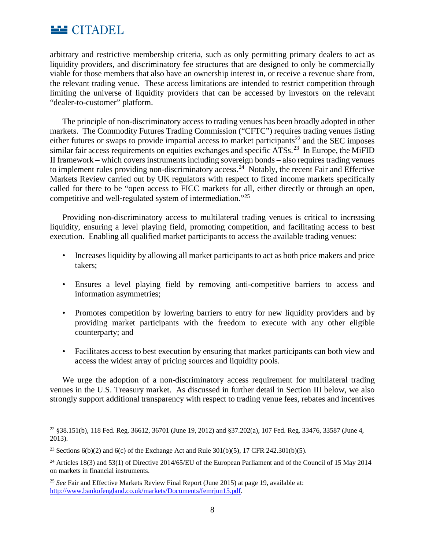

arbitrary and restrictive membership criteria, such as only permitting primary dealers to act as liquidity providers, and discriminatory fee structures that are designed to only be commercially viable for those members that also have an ownership interest in, or receive a revenue share from, the relevant trading venue. These access limitations are intended to restrict competition through limiting the universe of liquidity providers that can be accessed by investors on the relevant "dealer-to-customer" platform.

The principle of non-discriminatory access to trading venues has been broadly adopted in other markets. The Commodity Futures Trading Commission ("CFTC") requires trading venues listing either futures or swaps to provide impartial access to market participants<sup>[22](#page-7-0)</sup> and the SEC imposes similar fair access requirements on equities exchanges and specific  $\angle$ ATSs.<sup>[23](#page-7-1)</sup> In Europe, the MiFID II framework – which covers instruments including sovereign bonds – also requires trading venues to implement rules providing non-discriminatory access.<sup>[24](#page-7-2)</sup> Notably, the recent Fair and Effective Markets Review carried out by UK regulators with respect to fixed income markets specifically called for there to be "open access to FICC markets for all, either directly or through an open, competitive and well‐regulated system of intermediation."[25](#page-7-3)

Providing non-discriminatory access to multilateral trading venues is critical to increasing liquidity, ensuring a level playing field, promoting competition, and facilitating access to best execution. Enabling all qualified market participants to access the available trading venues:

- Increases liquidity by allowing all market participants to act as both price makers and price takers;
- Ensures a level playing field by removing anti-competitive barriers to access and information asymmetries;
- Promotes competition by lowering barriers to entry for new liquidity providers and by providing market participants with the freedom to execute with any other eligible counterparty; and
- Facilitates access to best execution by ensuring that market participants can both view and access the widest array of pricing sources and liquidity pools.

We urge the adoption of a non-discriminatory access requirement for multilateral trading venues in the U.S. Treasury market. As discussed in further detail in Section III below, we also strongly support additional transparency with respect to trading venue fees, rebates and incentives

<span id="page-7-0"></span> $\overline{\phantom{a}}$ <sup>22</sup> §38.151(b), 118 Fed. Reg. 36612, 36701 (June 19, 2012) and §37.202(a), 107 Fed. Reg. 33476, 33587 (June 4, 2013).

<span id="page-7-1"></span><sup>&</sup>lt;sup>23</sup> Sections  $6(b)(2)$  and  $6(c)$  of the Exchange Act and Rule  $301(b)(5)$ , 17 CFR 242.301(b)(5).

<span id="page-7-2"></span><sup>&</sup>lt;sup>24</sup> Articles 18(3) and 53(1) of Directive 2014/65/EU of the European Parliament and of the Council of 15 May 2014 on markets in financial instruments.

<span id="page-7-3"></span><sup>25</sup> *See* Fair and Effective Markets Review Final Report (June 2015) at page 19, available at: [http://www.bankofengland.co.uk/markets/Documents/femrjun15.pdf.](http://www.bankofengland.co.uk/markets/Documents/femrjun15.pdf)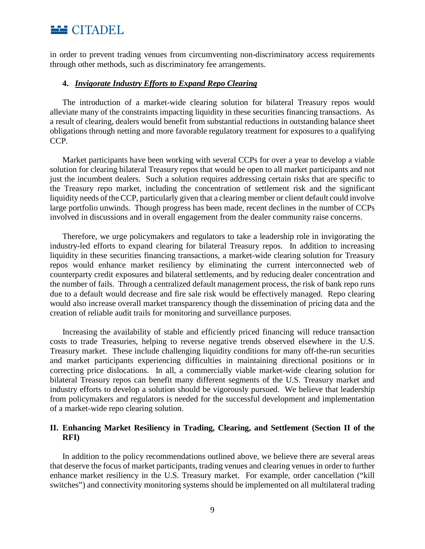

in order to prevent trading venues from circumventing non-discriminatory access requirements through other methods, such as discriminatory fee arrangements.

#### **4.** *Invigorate Industry Efforts to Expand Repo Clearing*

The introduction of a market-wide clearing solution for bilateral Treasury repos would alleviate many of the constraints impacting liquidity in these securities financing transactions. As a result of clearing, dealers would benefit from substantial reductions in outstanding balance sheet obligations through netting and more favorable regulatory treatment for exposures to a qualifying CCP.

Market participants have been working with several CCPs for over a year to develop a viable solution for clearing bilateral Treasury repos that would be open to all market participants and not just the incumbent dealers. Such a solution requires addressing certain risks that are specific to the Treasury repo market, including the concentration of settlement risk and the significant liquidity needs of the CCP, particularly given that a clearing member or client default could involve large portfolio unwinds. Though progress has been made, recent declines in the number of CCPs involved in discussions and in overall engagement from the dealer community raise concerns.

Therefore, we urge policymakers and regulators to take a leadership role in invigorating the industry-led efforts to expand clearing for bilateral Treasury repos. In addition to increasing liquidity in these securities financing transactions, a market-wide clearing solution for Treasury repos would enhance market resiliency by eliminating the current interconnected web of counterparty credit exposures and bilateral settlements, and by reducing dealer concentration and the number of fails. Through a centralized default management process, the risk of bank repo runs due to a default would decrease and fire sale risk would be effectively managed. Repo clearing would also increase overall market transparency though the dissemination of pricing data and the creation of reliable audit trails for monitoring and surveillance purposes.

Increasing the availability of stable and efficiently priced financing will reduce transaction costs to trade Treasuries, helping to reverse negative trends observed elsewhere in the U.S. Treasury market. These include challenging liquidity conditions for many off-the-run securities and market participants experiencing difficulties in maintaining directional positions or in correcting price dislocations. In all, a commercially viable market-wide clearing solution for bilateral Treasury repos can benefit many different segments of the U.S. Treasury market and industry efforts to develop a solution should be vigorously pursued. We believe that leadership from policymakers and regulators is needed for the successful development and implementation of a market-wide repo clearing solution.

## **II. Enhancing Market Resiliency in Trading, Clearing, and Settlement (Section II of the RFI)**

In addition to the policy recommendations outlined above, we believe there are several areas that deserve the focus of market participants, trading venues and clearing venues in order to further enhance market resiliency in the U.S. Treasury market. For example, order cancellation ("kill switches") and connectivity monitoring systems should be implemented on all multilateral trading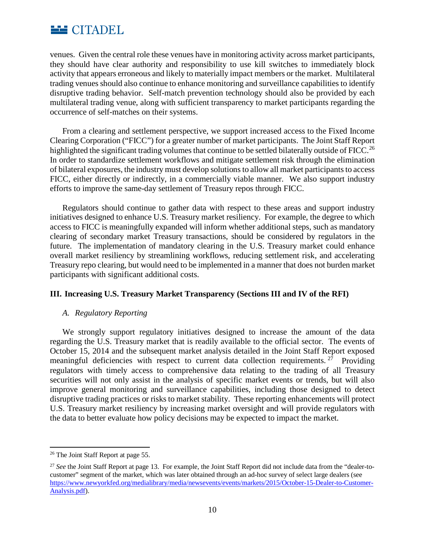

venues. Given the central role these venues have in monitoring activity across market participants, they should have clear authority and responsibility to use kill switches to immediately block activity that appears erroneous and likely to materially impact members or the market. Multilateral trading venues should also continue to enhance monitoring and surveillance capabilities to identify disruptive trading behavior. Self-match prevention technology should also be provided by each multilateral trading venue, along with sufficient transparency to market participants regarding the occurrence of self-matches on their systems.

From a clearing and settlement perspective, we support increased access to the Fixed Income Clearing Corporation ("FICC") for a greater number of market participants. The Joint Staff Report highlighted the significant trading volumes that continue to be settled bilaterally outside of FICC.<sup>[26](#page-9-0)</sup> In order to standardize settlement workflows and mitigate settlement risk through the elimination of bilateral exposures, the industry must develop solutions to allow all market participants to access FICC, either directly or indirectly, in a commercially viable manner. We also support industry efforts to improve the same-day settlement of Treasury repos through FICC.

Regulators should continue to gather data with respect to these areas and support industry initiatives designed to enhance U.S. Treasury market resiliency. For example, the degree to which access to FICC is meaningfully expanded will inform whether additional steps, such as mandatory clearing of secondary market Treasury transactions, should be considered by regulators in the future. The implementation of mandatory clearing in the U.S. Treasury market could enhance overall market resiliency by streamlining workflows, reducing settlement risk, and accelerating Treasury repo clearing, but would need to be implemented in a manner that does not burden market participants with significant additional costs.

## **III. Increasing U.S. Treasury Market Transparency (Sections III and IV of the RFI)**

## *A. Regulatory Reporting*

We strongly support regulatory initiatives designed to increase the amount of the data regarding the U.S. Treasury market that is readily available to the official sector. The events of October 15, 2014 and the subsequent market analysis detailed in the Joint Staff Report exposed meaningful deficiencies with respect to current data collection requirements. <sup>[27](#page-9-1)</sup> Providing regulators with timely access to comprehensive data relating to the trading of all Treasury securities will not only assist in the analysis of specific market events or trends, but will also improve general monitoring and surveillance capabilities, including those designed to detect disruptive trading practices or risks to market stability. These reporting enhancements will protect U.S. Treasury market resiliency by increasing market oversight and will provide regulators with the data to better evaluate how policy decisions may be expected to impact the market.

<span id="page-9-0"></span> $\overline{\phantom{a}}$ <sup>26</sup> The Joint Staff Report at page 55.

<span id="page-9-1"></span><sup>27</sup> *See* the Joint Staff Report at page 13. For example, the Joint Staff Report did not include data from the "dealer-tocustomer" segment of the market, which was later obtained through an ad-hoc survey of select large dealers (see [https://www.newyorkfed.org/medialibrary/media/newsevents/events/markets/2015/October-15-Dealer-to-Customer-](https://www.newyorkfed.org/medialibrary/media/newsevents/events/markets/2015/October-15-Dealer-to-Customer-Analysis.pdf)[Analysis.pdf\)](https://www.newyorkfed.org/medialibrary/media/newsevents/events/markets/2015/October-15-Dealer-to-Customer-Analysis.pdf).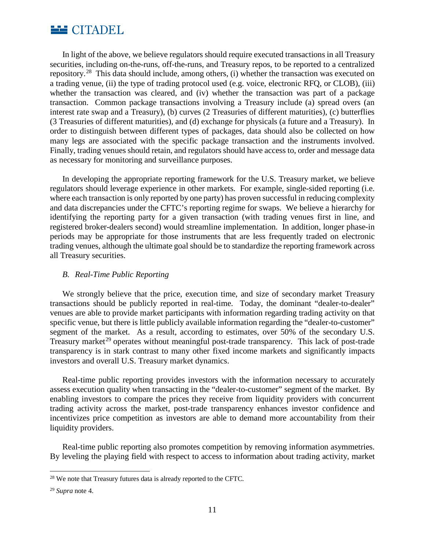

In light of the above, we believe regulators should require executed transactions in all Treasury securities, including on-the-runs, off-the-runs, and Treasury repos, to be reported to a centralized repository.<sup>[28](#page-10-0)</sup> This data should include, among others, (i) whether the transaction was executed on a trading venue, (ii) the type of trading protocol used (e.g. voice, electronic RFQ, or CLOB), (iii) whether the transaction was cleared, and (iv) whether the transaction was part of a package transaction. Common package transactions involving a Treasury include (a) spread overs (an interest rate swap and a Treasury), (b) curves (2 Treasuries of different maturities), (c) butterflies (3 Treasuries of different maturities), and (d) exchange for physicals (a future and a Treasury). In order to distinguish between different types of packages, data should also be collected on how many legs are associated with the specific package transaction and the instruments involved. Finally, trading venues should retain, and regulators should have access to, order and message data as necessary for monitoring and surveillance purposes.

In developing the appropriate reporting framework for the U.S. Treasury market, we believe regulators should leverage experience in other markets. For example, single-sided reporting (i.e. where each transaction is only reported by one party) has proven successful in reducing complexity and data discrepancies under the CFTC's reporting regime for swaps. We believe a hierarchy for identifying the reporting party for a given transaction (with trading venues first in line, and registered broker-dealers second) would streamline implementation. In addition, longer phase-in periods may be appropriate for those instruments that are less frequently traded on electronic trading venues, although the ultimate goal should be to standardize the reporting framework across all Treasury securities.

## *B. Real-Time Public Reporting*

We strongly believe that the price, execution time, and size of secondary market Treasury transactions should be publicly reported in real-time. Today, the dominant "dealer-to-dealer" venues are able to provide market participants with information regarding trading activity on that specific venue, but there is little publicly available information regarding the "dealer-to-customer" segment of the market. As a result, according to estimates, over 50% of the secondary U.S. Treasury market<sup>[29](#page-10-1)</sup> operates without meaningful post-trade transparency. This lack of post-trade transparency is in stark contrast to many other fixed income markets and significantly impacts investors and overall U.S. Treasury market dynamics.

Real-time public reporting provides investors with the information necessary to accurately assess execution quality when transacting in the "dealer-to-customer" segment of the market. By enabling investors to compare the prices they receive from liquidity providers with concurrent trading activity across the market, post-trade transparency enhances investor confidence and incentivizes price competition as investors are able to demand more accountability from their liquidity providers.

Real-time public reporting also promotes competition by removing information asymmetries. By leveling the playing field with respect to access to information about trading activity, market

<span id="page-10-0"></span> $\overline{\phantom{a}}$ <sup>28</sup> We note that Treasury futures data is already reported to the CFTC.

<span id="page-10-1"></span><sup>29</sup> *Supra* note 4.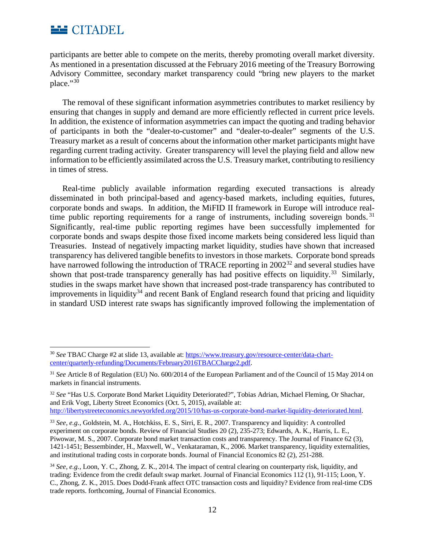

 $\overline{\phantom{a}}$ 

participants are better able to compete on the merits, thereby promoting overall market diversity. As mentioned in a presentation discussed at the February 2016 meeting of the Treasury Borrowing Advisory Committee, secondary market transparency could "bring new players to the market place."[30](#page-11-0)

The removal of these significant information asymmetries contributes to market resiliency by ensuring that changes in supply and demand are more efficiently reflected in current price levels. In addition, the existence of information asymmetries can impact the quoting and trading behavior of participants in both the "dealer-to-customer" and "dealer-to-dealer" segments of the U.S. Treasury market as a result of concerns about the information other market participants might have regarding current trading activity. Greater transparency will level the playing field and allow new information to be efficiently assimilated across the U.S. Treasury market, contributing to resiliency in times of stress.

Real-time publicly available information regarding executed transactions is already disseminated in both principal-based and agency-based markets, including equities, futures, corporate bonds and swaps. In addition, the MiFID II framework in Europe will introduce real-time public reporting requirements for a range of instruments, including sovereign bonds.<sup>[31](#page-11-1)</sup> Significantly, real-time public reporting regimes have been successfully implemented for corporate bonds and swaps despite those fixed income markets being considered less liquid than Treasuries. Instead of negatively impacting market liquidity, studies have shown that increased transparency has delivered tangible benefits to investors in those markets. Corporate bond spreads have narrowed following the introduction of TRACE reporting in 2002<sup>[32](#page-11-2)</sup> and several studies have shown that post-trade transparency generally has had positive effects on liquidity.<sup>[33](#page-11-3)</sup> Similarly, studies in the swaps market have shown that increased post-trade transparency has contributed to improvements in liquidity<sup>[34](#page-11-4)</sup> and recent Bank of England research found that pricing and liquidity in standard USD interest rate swaps has significantly improved following the implementation of

<span id="page-11-3"></span><sup>33</sup> *See, e.g.,* Goldstein, M. A., Hotchkiss, E. S., Sirri, E. R., 2007. Transparency and liquidity: A controlled experiment on corporate bonds. Review of Financial Studies 20 (2), 235-273; Edwards, A. K., Harris, L. E., Piwowar, M. S., 2007. Corporate bond market transaction costs and transparency. The Journal of Finance 62 (3), 1421-1451; Bessembinder, H., Maxwell, W., Venkataraman, K., 2006. Market transparency, liquidity externalities, and institutional trading costs in corporate bonds. Journal of Financial Economics 82 (2), 251-288.

<span id="page-11-0"></span><sup>30</sup> *See* TBAC Charge #2 at slide 13, available at[: https://www.treasury.gov/resource-center/data-chart](https://www.treasury.gov/resource-center/data-chart-center/quarterly-refunding/Documents/February2016TBACCharge2.pdf)[center/quarterly-refunding/Documents/February2016TBACCharge2.pdf.](https://www.treasury.gov/resource-center/data-chart-center/quarterly-refunding/Documents/February2016TBACCharge2.pdf)

<span id="page-11-1"></span><sup>31</sup> *See* Article 8 of Regulation (EU) No. 600/2014 of the European Parliament and of the Council of 15 May 2014 on markets in financial instruments.

<span id="page-11-2"></span><sup>32</sup> *See* "Has U.S. Corporate Bond Market Liquidity Deteriorated?", Tobias Adrian, Michael Fleming, Or Shachar, and Erik Vogt, Liberty Street Economics (Oct. 5, 2015), available at: [http://libertystreeteconomics.newyorkfed.org/2015/10/has-us-corporate-bond-market-liquidity-deteriorated.html.](http://libertystreeteconomics.newyorkfed.org/2015/10/has-us-corporate-bond-market-liquidity-deteriorated.html)

<span id="page-11-4"></span><sup>34</sup> *See, e.g.,* Loon, Y. C., Zhong, Z. K., 2014. The impact of central clearing on counterparty risk, liquidity, and trading: Evidence from the credit default swap market. Journal of Financial Economics 112 (1), 91-115; Loon, Y. C., Zhong, Z. K., 2015. Does Dodd-Frank affect OTC transaction costs and liquidity? Evidence from real-time CDS trade reports. forthcoming, Journal of Financial Economics.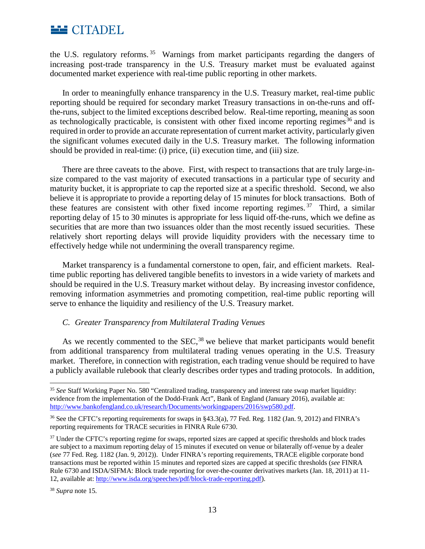

the U.S. regulatory reforms. [35](#page-12-0) Warnings from market participants regarding the dangers of increasing post-trade transparency in the U.S. Treasury market must be evaluated against documented market experience with real-time public reporting in other markets.

In order to meaningfully enhance transparency in the U.S. Treasury market, real-time public reporting should be required for secondary market Treasury transactions in on-the-runs and offthe-runs, subject to the limited exceptions described below. Real-time reporting, meaning as soon as technologically practicable, is consistent with other fixed income reporting regimes<sup>[36](#page-12-1)</sup> and is required in order to provide an accurate representation of current market activity, particularly given the significant volumes executed daily in the U.S. Treasury market. The following information should be provided in real-time: (i) price, (ii) execution time, and (iii) size.

There are three caveats to the above. First, with respect to transactions that are truly large-insize compared to the vast majority of executed transactions in a particular type of security and maturity bucket, it is appropriate to cap the reported size at a specific threshold. Second, we also believe it is appropriate to provide a reporting delay of 15 minutes for block transactions. Both of these features are consistent with other fixed income reporting regimes.  $37$  Third, a similar reporting delay of 15 to 30 minutes is appropriate for less liquid off-the-runs, which we define as securities that are more than two issuances older than the most recently issued securities. These relatively short reporting delays will provide liquidity providers with the necessary time to effectively hedge while not undermining the overall transparency regime.

Market transparency is a fundamental cornerstone to open, fair, and efficient markets. Realtime public reporting has delivered tangible benefits to investors in a wide variety of markets and should be required in the U.S. Treasury market without delay. By increasing investor confidence, removing information asymmetries and promoting competition, real-time public reporting will serve to enhance the liquidity and resiliency of the U.S. Treasury market.

## *C. Greater Transparency from Multilateral Trading Venues*

As we recently commented to the SEC,<sup>[38](#page-12-3)</sup> we believe that market participants would benefit from additional transparency from multilateral trading venues operating in the U.S. Treasury market. Therefore, in connection with registration, each trading venue should be required to have a publicly available rulebook that clearly describes order types and trading protocols. In addition,

 $\overline{a}$ 

<span id="page-12-0"></span><sup>35</sup> *See* Staff Working Paper No. 580 "Centralized trading, transparency and interest rate swap market liquidity: evidence from the implementation of the Dodd-Frank Act", Bank of England (January 2016), available at: [http://www.bankofengland.co.uk/research/Documents/workingpapers/2016/swp580.pdf.](http://www.bankofengland.co.uk/research/Documents/workingpapers/2016/swp580.pdf)

<span id="page-12-1"></span><sup>36</sup> See the CFTC's reporting requirements for swaps in §43.3(a), 77 Fed. Reg. 1182 (Jan. 9, 2012) and FINRA's reporting requirements for TRACE securities in FINRA Rule 6730.

<span id="page-12-2"></span><sup>&</sup>lt;sup>37</sup> Under the CFTC's reporting regime for swaps, reported sizes are capped at specific thresholds and block trades are subject to a maximum reporting delay of 15 minutes if executed on venue or bilaterally off-venue by a dealer (*see* 77 Fed. Reg. 1182 (Jan. 9, 2012)). Under FINRA's reporting requirements, TRACE eligible corporate bond transactions must be reported within 15 minutes and reported sizes are capped at specific thresholds (*see* FINRA Rule 6730 and ISDA/SIFMA: Block trade reporting for over-the-counter derivatives markets (Jan. 18, 2011) at 11- 12, available at: [http://www.isda.org/speeches/pdf/block-trade-reporting.pdf\)](http://www.isda.org/speeches/pdf/block-trade-reporting.pdf).

<span id="page-12-3"></span><sup>38</sup> *Supra* note 15.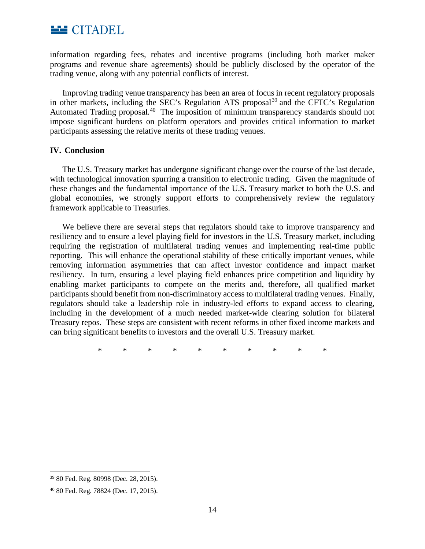

information regarding fees, rebates and incentive programs (including both market maker programs and revenue share agreements) should be publicly disclosed by the operator of the trading venue, along with any potential conflicts of interest.

Improving trading venue transparency has been an area of focus in recent regulatory proposals in other markets, including the SEC's Regulation ATS proposal<sup>[39](#page-13-0)</sup> and the CFTC's Regulation Automated Trading proposal.<sup>[40](#page-13-1)</sup> The imposition of minimum transparency standards should not impose significant burdens on platform operators and provides critical information to market participants assessing the relative merits of these trading venues.

### **IV. Conclusion**

The U.S. Treasury market has undergone significant change over the course of the last decade, with technological innovation spurring a transition to electronic trading. Given the magnitude of these changes and the fundamental importance of the U.S. Treasury market to both the U.S. and global economies, we strongly support efforts to comprehensively review the regulatory framework applicable to Treasuries.

We believe there are several steps that regulators should take to improve transparency and resiliency and to ensure a level playing field for investors in the U.S. Treasury market, including requiring the registration of multilateral trading venues and implementing real-time public reporting. This will enhance the operational stability of these critically important venues, while removing information asymmetries that can affect investor confidence and impact market resiliency. In turn, ensuring a level playing field enhances price competition and liquidity by enabling market participants to compete on the merits and, therefore, all qualified market participants should benefit from non-discriminatory access to multilateral trading venues. Finally, regulators should take a leadership role in industry-led efforts to expand access to clearing, including in the development of a much needed market-wide clearing solution for bilateral Treasury repos. These steps are consistent with recent reforms in other fixed income markets and can bring significant benefits to investors and the overall U.S. Treasury market.

\* \* \* \* \* \* \* \* \* \*

<span id="page-13-0"></span> $\overline{\phantom{a}}$ <sup>39</sup> 80 Fed. Reg. 80998 (Dec. 28, 2015).

<span id="page-13-1"></span><sup>40</sup> 80 Fed. Reg. 78824 (Dec. 17, 2015).